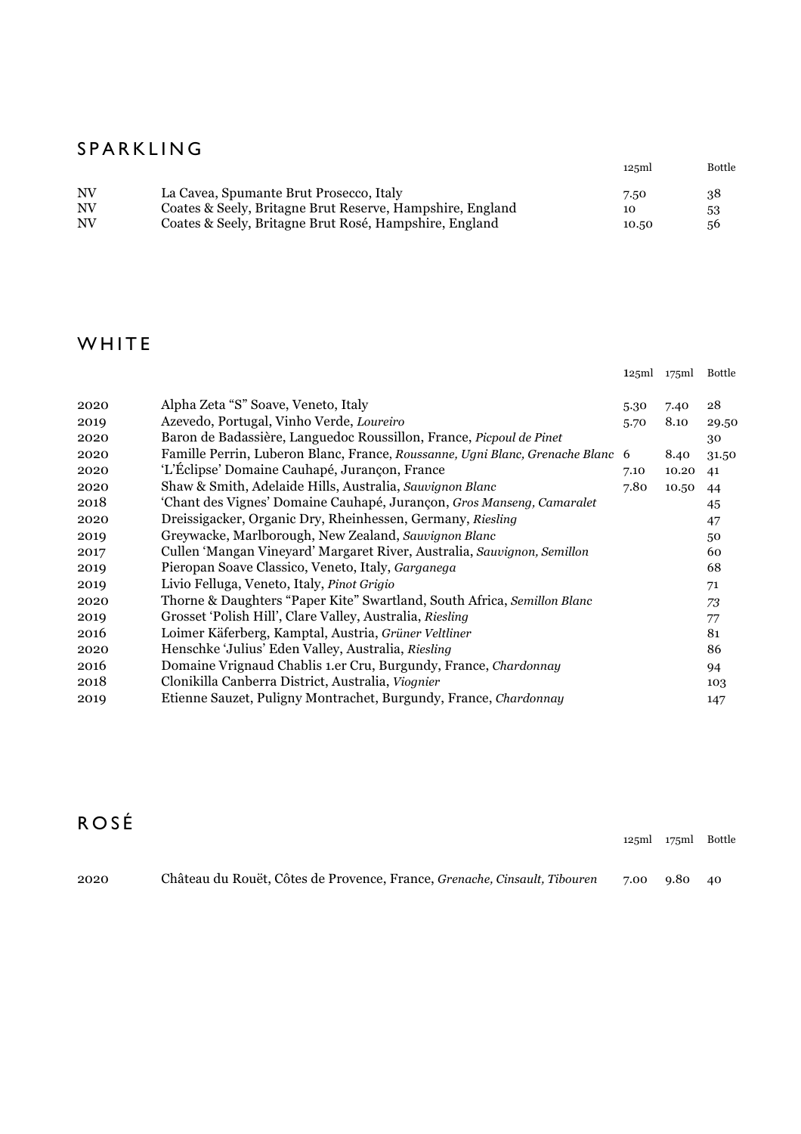#### SPARKLIN G

|    |                                                           | 125ml | <b>Bottle</b> |
|----|-----------------------------------------------------------|-------|---------------|
| NV | La Cavea, Spumante Brut Prosecco, Italy                   | 7.50  | 38            |
| NV | Coates & Seely, Britagne Brut Reserve, Hampshire, England | 10    | 53            |
| NV | Coates & Seely, Britagne Brut Rosé, Hampshire, England    | 10.50 | 56            |

#### **WHITE**

|      |                                                                              | 125ml | 175ml | Bottle |
|------|------------------------------------------------------------------------------|-------|-------|--------|
|      |                                                                              |       |       |        |
| 2020 | Alpha Zeta "S" Soave, Veneto, Italy                                          | 5.30  | 7.40  | 28     |
| 2019 | Azevedo, Portugal, Vinho Verde, Loureiro                                     | 5.70  | 8.10  | 29.50  |
| 2020 | Baron de Badassière, Languedoc Roussillon, France, Picpoul de Pinet          |       |       | 30     |
| 2020 | Famille Perrin, Luberon Blanc, France, Roussanne, Ugni Blanc, Grenache Blanc | 6     | 8.40  | 31.50  |
| 2020 | 'L'Éclipse' Domaine Cauhapé, Jurançon, France                                | 7.10  | 10.20 | 41     |
| 2020 | Shaw & Smith, Adelaide Hills, Australia, Sauvignon Blanc                     | 7.80  | 10.50 | 44     |
| 2018 | 'Chant des Vignes' Domaine Cauhapé, Jurançon, Gros Manseng, Camaralet        |       |       | 45     |
| 2020 | Dreissigacker, Organic Dry, Rheinhessen, Germany, Riesling                   |       |       | 47     |
| 2019 | Greywacke, Marlborough, New Zealand, Sauvignon Blanc                         |       |       | 50     |
| 2017 | Cullen 'Mangan Vineyard' Margaret River, Australia, Sauvignon, Semillon      |       |       | 60     |
| 2019 | Pieropan Soave Classico, Veneto, Italy, Garganega                            |       |       | 68     |
| 2019 | Livio Felluga, Veneto, Italy, Pinot Grigio                                   |       |       | 71     |
| 2020 | Thorne & Daughters "Paper Kite" Swartland, South Africa, Semillon Blanc      |       |       | 73     |
| 2019 | Grosset 'Polish Hill', Clare Valley, Australia, Riesling                     |       |       | 77     |
| 2016 | Loimer Käferberg, Kamptal, Austria, Grüner Veltliner                         |       |       | 81     |
| 2020 | Henschke 'Julius' Eden Valley, Australia, Riesling                           |       |       | 86     |
| 2016 | Domaine Vrignaud Chablis 1.er Cru, Burgundy, France, Chardonnay              |       |       | 94     |
| 2018 | Clonikilla Canberra District, Australia, Viognier                            |       |       | 103    |
| 2019 | Etienne Sauzet, Puligny Montrachet, Burgundy, France, Chardonnay             |       |       | 147    |

# R O S É

| 2020 | Château du Rouët, Côtes de Provence, France, Grenache, Cinsault, Tibouren | 7.00 9.80 40 |  |
|------|---------------------------------------------------------------------------|--------------|--|

125ml 175ml Bottle